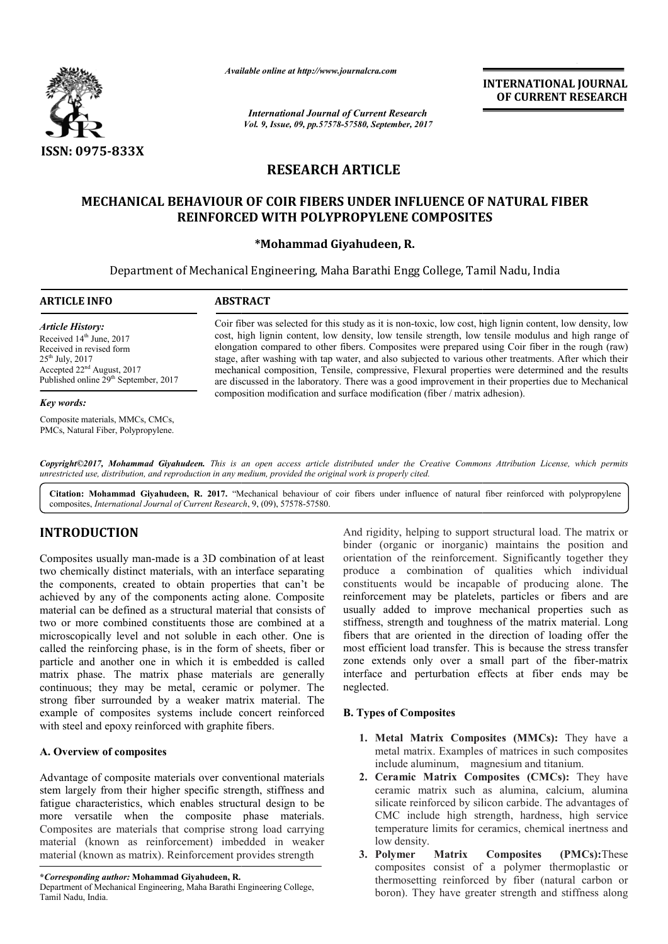

*Available online at http://www.journalcra.com*

*International Journal of Current Research Vol. 9, Issue, 09, pp.57578-57580, September, 2017* **INTERNATIONAL JOURNAL OF CURRENT RESEARCH**

# **RESEARCH ARTICLE**

# **MECHANICAL BEHAVIOUR OF COIR FIBERS UNDER INFLUENCE OF NATURAL FIBER REINFORCED WITH POLYPROPYLENE COMPOSITES**

## **\*Mohammad Giyahudeen, R.**

Department of Mechanical Engineering, Maha Barathi Engg College, Tamil Nadu, India

| <b>ARTICLE INFO</b>                                                                                                                                                                         | <b>ABSTRACT</b>                                                                                                                                                                                                                                                                                                                                                                                                                                                                                                                                                                                                                                                                                                             |
|---------------------------------------------------------------------------------------------------------------------------------------------------------------------------------------------|-----------------------------------------------------------------------------------------------------------------------------------------------------------------------------------------------------------------------------------------------------------------------------------------------------------------------------------------------------------------------------------------------------------------------------------------------------------------------------------------------------------------------------------------------------------------------------------------------------------------------------------------------------------------------------------------------------------------------------|
| <b>Article History:</b><br>Received $14th$ June, 2017<br>Received in revised form<br>$25th$ July, 2017<br>Accepted $22nd$ August, 2017<br>Published online 29 <sup>th</sup> September, 2017 | Coir fiber was selected for this study as it is non-toxic, low cost, high lignin content, low density, low<br>cost, high lignin content, low density, low tensile strength, low tensile modulus and high range of<br>elongation compared to other fibers. Composites were prepared using Coir fiber in the rough (raw)<br>stage, after washing with tap water, and also subjected to various other treatments. After which their<br>mechanical composition, Tensile, compressive, Flexural properties were determined and the results<br>are discussed in the laboratory. There was a good improvement in their properties due to Mechanical<br>composition modification and surface modification (fiber / matrix adhesion) |

#### *Key words:*

Composite materials, MMCs, CMCs, PMCs, Natural Fiber, Polypropylene. elongation compared to other fibers. Composites were prepared using Coir fiber in the rough (raw) stage, after washing with tap water, and also subjected to various other treatments. After which their mechanical compositio

Copyright©2017, Mohammad Giyahudeen. This is an open access article distributed under the Creative Commons Attribution License, which permits unrestricted use, distribution, and reproduction in any medium, provided the original work is properly cited.

Citation: Mohammad Giyahudeen, R. 2017. "Mechanical behaviour of coir fibers under influence of natural fiber reinforced with polypropylene composites, *International Journal of Current Research* , 9, (09), 57578-57580.

# **INTRODUCTION**

Composites usually man-made is a 3D combination of at least two chemically distinct materials, with an interface separating the components, created to obtain properties that can't be achieved by any of the components acting alone. Composite material can be defined as a structural materia material that consists of two or more combined constituents those are combined at a microscopically level and not soluble in each other. One is called the reinforcing phase, is in the form of sheets, fiber or particle and another one in which it is embedded is called matrix phase. The matrix phase materials are generally continuous; they may be metal, ceramic or polymer. The strong fiber surrounded by a weaker matrix material. The example of composites systems include concert reinforced with steel and epoxy reinforced with graphite fibers.

## **A. Overview of composites**

Advantage of composite materials over conventional materials stem largely from their higher specific strength, stiffness and fatigue characteristics, which enables structural design to be more versatile when the composite phase materials. Composites are materials that comprise strong load carrying material (known as reinforcement) imbedded in weaker material (known as matrix). Reinforcement provides strength **EXECT SERVIGE SERVIGHT:**<br> **EXECT:**<br> **EXECT:**<br> **EXECT:**<br> **EXECT:**<br> **EXECT:**<br> **EXECT:**<br> **EXECT:**<br> **EXECT:**<br> **EXECT:**<br> **EXECT:**<br> **EXECT:**<br> **EXECT:**<br> **EXECT:**<br> **EXECT:**<br> **EXECT:**<br> **EXECT:**<br> **EXECT:**<br> **EXECT:**<br> **EXECT:**<br> **EXEC** 

And rigidity, helping to support structural load. The matrix or binder (organic or inorganic) maintains the position and And rigidity, helping to support structural load. The matrix or binder (organic or inorganic) maintains the position and orientation of the reinforcement. Significantly together they produce a combination of qualities which individual produce a combination of qualities which individual constituents would be incapable of producing alone. The reinforcement may be platelets, particles or fibers and are usually added to improve mechanical properties such as stiffness, strength and toughness of the matrix material. Long fibers that are oriented in the direction of loading offer the most efficient load transfer. This is because the stress transfer zone extends only over a small part of the fiber interface and perturbation effects at fiber ends may be neglected. reinforcement may be platelets, particles or fibers and are usually added to improve mechanical properties such as stiffness, strength and toughness of the matrix material. Long fibers that are oriented in the direction of INTERNATIONAL JOURNAL<br>
OF CURRENT RESEARCH<br>
OF CURRENT RESEARCH<br>
TES<br>
Tamil Nadu, India<br>
105. Tamil Nadu, India<br>
105. Tamil Nadu, India<br>
108. In the rough read with the read with the read with the read with the read with t

## **B. Types of Composites**

- **1. Metal Matrix Composites (MMCs):** They have a metal matrix. Examples of matrices in such composites include aluminum, magnesium and titanium. metal matrix. Examples of matrices in such composites<br>include aluminum, magnesium and titanium.<br>**2. Ceramic Matrix Composites (CMCs):** They have
- ceramic matrix such as alumina, calcium, alumina silicate reinforced by silicon carbide. The advantages of CMC include high strength, hardness, high service temperature limits for ceramics, chemical inertness and low density. ceramic matrix such as alumina, calcium, alumina silicate reinforced by silicon carbide. The advantages of CMC include high strength, hardness, high service temperature limits for ceramics, chemical inertness and low densi
- **3. Polymer Matrix Composites (PMCs):** composites consist of a polymer thermoplastic or composites consist of a polymer thermoplastic or thermosetting reinforced by fiber (natural carbon or boron). They have greater strength and stiffness along

**<sup>\*</sup>***Corresponding author:* **Mohammad Giyahudeen, R.**

Department of Mechanical Engineering, Maha Barathi Eng Tamil Nadu, India.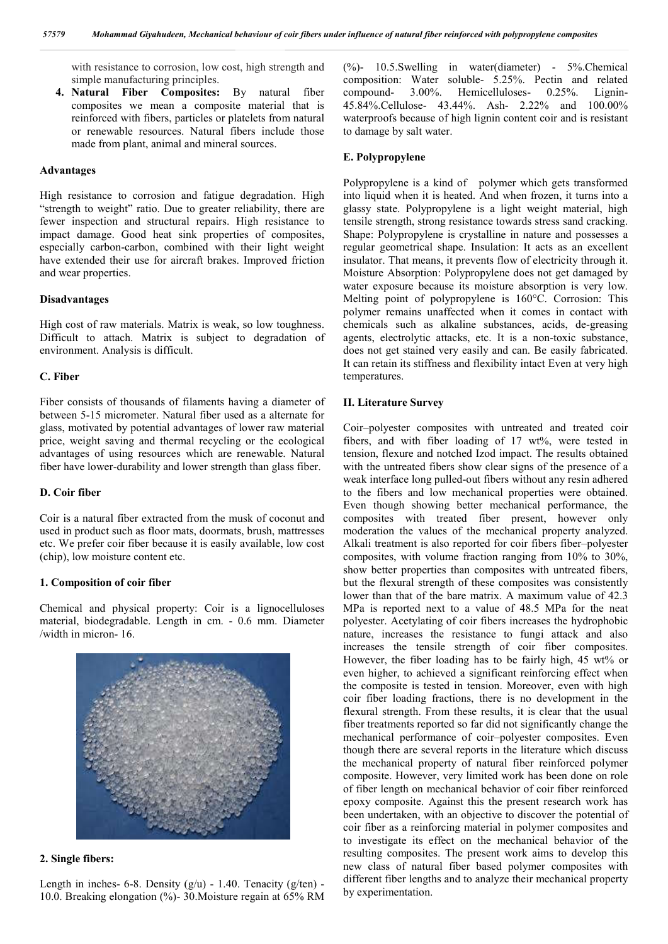with resistance to corrosion, low cost, high strength and simple manufacturing principles.

**4. Natural Fiber Composites:** By natural fiber composites we mean a composite material that is reinforced with fibers, particles or platelets from natural or renewable resources. Natural fibers include those made from plant, animal and mineral sources.

#### **Advantages**

High resistance to corrosion and fatigue degradation. High "strength to weight" ratio. Due to greater reliability, there are fewer inspection and structural repairs. High resistance to impact damage. Good heat sink properties of composites, especially carbon-carbon, combined with their light weight have extended their use for aircraft brakes. Improved friction and wear properties.

#### **Disadvantages**

High cost of raw materials. Matrix is weak, so low toughness. Difficult to attach. Matrix is subject to degradation of environment. Analysis is difficult.

#### **C. Fiber**

Fiber consists of thousands of filaments having a diameter of between 5-15 micrometer. Natural fiber used as a alternate for glass, motivated by potential advantages of lower raw material price, weight saving and thermal recycling or the ecological advantages of using resources which are renewable. Natural fiber have lower-durability and lower strength than glass fiber.

## **D. Coir fiber**

Coir is a natural fiber extracted from the musk of coconut and used in product such as floor mats, doormats, brush, mattresses etc. We prefer coir fiber because it is easily available, low cost (chip), low moisture content etc.

#### **1. Composition of coir fiber**

Chemical and physical property: Coir is a lignocelluloses material, biodegradable. Length in cm. - 0.6 mm. Diameter /width in micron- 16.



#### **2. Single fibers:**

Length in inches- 6-8. Density  $(g/u)$  - 1.40. Tenacity  $(g/ten)$  -10.0. Breaking elongation (%)- 30.Moisture regain at 65% RM (%)- 10.5.Swelling in water(diameter) - 5%.Chemical composition: Water soluble- 5.25%. Pectin and related compound- 3.00%. Hemicelluloses- 0.25%. Lignin-45.84%.Cellulose- 43.44%. Ash- 2.22% and 100.00% waterproofs because of high lignin content coir and is resistant to damage by salt water.

### **E. Polypropylene**

Polypropylene is a kind of polymer which gets transformed into liquid when it is heated. And when frozen, it turns into a glassy state. Polypropylene is a light weight material, high tensile strength, strong resistance towards stress sand cracking. Shape: Polypropylene is crystalline in nature and possesses a regular geometrical shape. Insulation: It acts as an excellent insulator. That means, it prevents flow of electricity through it. Moisture Absorption: Polypropylene does not get damaged by water exposure because its moisture absorption is very low. Melting point of polypropylene is 160°C. Corrosion: This polymer remains unaffected when it comes in contact with chemicals such as alkaline substances, acids, de-greasing agents, electrolytic attacks, etc. It is a non-toxic substance, does not get stained very easily and can. Be easily fabricated. It can retain its stiffness and flexibility intact Even at very high temperatures.

#### **II. Literature Survey**

Coir–polyester composites with untreated and treated coir fibers, and with fiber loading of 17 wt%, were tested in tension, flexure and notched Izod impact. The results obtained with the untreated fibers show clear signs of the presence of a weak interface long pulled-out fibers without any resin adhered to the fibers and low mechanical properties were obtained. Even though showing better mechanical performance, the composites with treated fiber present, however only moderation the values of the mechanical property analyzed. Alkali treatment is also reported for coir fibers fiber–polyester composites, with volume fraction ranging from 10% to 30%, show better properties than composites with untreated fibers, but the flexural strength of these composites was consistently lower than that of the bare matrix. A maximum value of 42.3 MPa is reported next to a value of 48.5 MPa for the neat polyester. Acetylating of coir fibers increases the hydrophobic nature, increases the resistance to fungi attack and also increases the tensile strength of coir fiber composites. However, the fiber loading has to be fairly high, 45 wt% or even higher, to achieved a significant reinforcing effect when the composite is tested in tension. Moreover, even with high coir fiber loading fractions, there is no development in the flexural strength. From these results, it is clear that the usual fiber treatments reported so far did not significantly change the mechanical performance of coir–polyester composites. Even though there are several reports in the literature which discuss the mechanical property of natural fiber reinforced polymer composite. However, very limited work has been done on role of fiber length on mechanical behavior of coir fiber reinforced epoxy composite. Against this the present research work has been undertaken, with an objective to discover the potential of coir fiber as a reinforcing material in polymer composites and to investigate its effect on the mechanical behavior of the resulting composites. The present work aims to develop this new class of natural fiber based polymer composites with different fiber lengths and to analyze their mechanical property by experimentation.